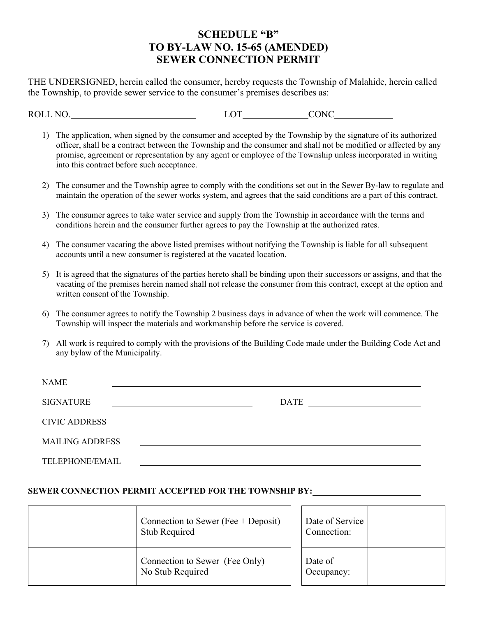## **SCHEDULE "B" TO BY-LAW NO. 15-65 (AMENDED) SEWER CONNECTION PERMIT**

THE UNDERSIGNED, herein called the consumer, hereby requests the Township of Malahide, herein called the Township, to provide sewer service to the consumer's premises describes as:

ROLL NO. LOT CONC

- 1) The application, when signed by the consumer and accepted by the Township by the signature of its authorized officer, shall be a contract between the Township and the consumer and shall not be modified or affected by any promise, agreement or representation by any agent or employee of the Township unless incorporated in writing into this contract before such acceptance.
- 2) The consumer and the Township agree to comply with the conditions set out in the Sewer By-law to regulate and maintain the operation of the sewer works system, and agrees that the said conditions are a part of this contract.
- 3) The consumer agrees to take water service and supply from the Township in accordance with the terms and conditions herein and the consumer further agrees to pay the Township at the authorized rates.
- 4) The consumer vacating the above listed premises without notifying the Township is liable for all subsequent accounts until a new consumer is registered at the vacated location.
- 5) It is agreed that the signatures of the parties hereto shall be binding upon their successors or assigns, and that the vacating of the premises herein named shall not release the consumer from this contract, except at the option and written consent of the Township.
- 6) The consumer agrees to notify the Township 2 business days in advance of when the work will commence. The Township will inspect the materials and workmanship before the service is covered.
- 7) All work is required to comply with the provisions of the Building Code made under the Building Code Act and any bylaw of the Municipality.

| <b>NAME</b>            |                                                                                                                      |                                                               |
|------------------------|----------------------------------------------------------------------------------------------------------------------|---------------------------------------------------------------|
| <b>SIGNATURE</b>       |                                                                                                                      | DATE<br><u> 1989 - Johann Stein, fransk politik (d. 1989)</u> |
| <b>CIVIC ADDRESS</b>   | <u> 1980 - Jan Samuel Barbara, margaret e populazion del control del control del control del control de la provi</u> |                                                               |
| <b>MAILING ADDRESS</b> |                                                                                                                      |                                                               |
| TELEPHONE/EMAIL        |                                                                                                                      |                                                               |

#### **SEWER CONNECTION PERMIT ACCEPTED FOR THE TOWNSHIP BY:**

| Connection to Sewer (Fee $+$ Deposit)<br><b>Stub Required</b> | Date of Service<br>Connection: |  |
|---------------------------------------------------------------|--------------------------------|--|
| Connection to Sewer (Fee Only)<br>No Stub Required            | Date of<br>Occupancy:          |  |